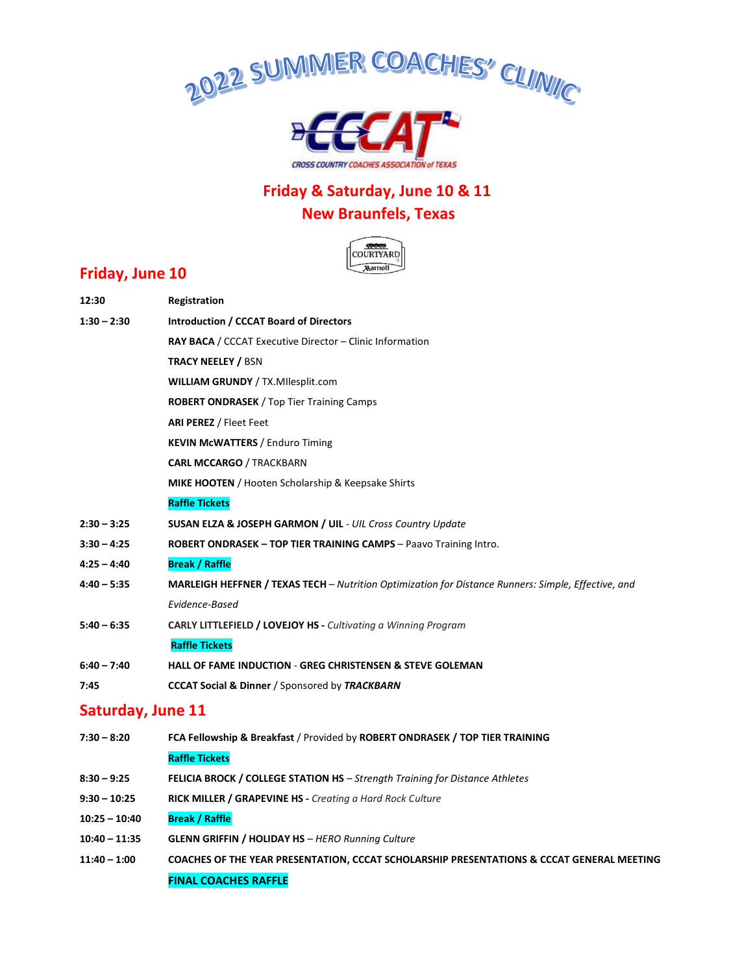



# **Friday & Saturday, June 10 & 11**

## **New Braunfels, Texas**



### **Friday, June 10**

| 12:30                    | Registration                                                                                               |
|--------------------------|------------------------------------------------------------------------------------------------------------|
| $1:30 - 2:30$            | <b>Introduction / CCCAT Board of Directors</b>                                                             |
|                          | <b>RAY BACA</b> / CCCAT Executive Director – Clinic Information                                            |
|                          | <b>TRACY NEELEY / BSN</b>                                                                                  |
|                          | <b>WILLIAM GRUNDY / TX.MIlesplit.com</b>                                                                   |
|                          | <b>ROBERT ONDRASEK</b> / Top Tier Training Camps                                                           |
|                          | <b>ARI PEREZ / Fleet Feet</b>                                                                              |
|                          | <b>KEVIN McWATTERS / Enduro Timing</b>                                                                     |
|                          | <b>CARL MCCARGO / TRACKBARN</b>                                                                            |
|                          | <b>MIKE HOOTEN</b> / Hooten Scholarship & Keepsake Shirts                                                  |
|                          | <b>Raffle Tickets</b>                                                                                      |
| $2:30 - 3:25$            | <b>SUSAN ELZA &amp; JOSEPH GARMON / UIL - UIL Cross Country Update</b>                                     |
| $3:30 - 4:25$            | <b>ROBERT ONDRASEK - TOP TIER TRAINING CAMPS - Paavo Training Intro.</b>                                   |
| $4:25 - 4:40$            | <b>Break / Raffle</b>                                                                                      |
| $4:40 - 5:35$            | <b>MARLEIGH HEFFNER / TEXAS TECH</b> – Nutrition Optimization for Distance Runners: Simple, Effective, and |
|                          | Evidence-Based                                                                                             |
| $5:40 - 6:35$            | <b>CARLY LITTLEFIELD / LOVEJOY HS - Cultivating a Winning Program</b>                                      |
|                          | <b>Raffle Tickets</b>                                                                                      |
| $6:40 - 7:40$            | <b>HALL OF FAME INDUCTION - GREG CHRISTENSEN &amp; STEVE GOLEMAN</b>                                       |
| 7:45                     | <b>CCCAT Social &amp; Dinner / Sponsored by TRACKBARN</b>                                                  |
| <b>Saturday, June 11</b> |                                                                                                            |
| $7:30 - 8:20$            | FCA Fellowship & Breakfast / Provided by ROBERT ONDRASEK / TOP TIER TRAINING                               |
|                          | <b>Raffle Tickets</b>                                                                                      |
| $8:30 - 9:25$            | <b>FELICIA BROCK / COLLEGE STATION HS</b> - Strength Training for Distance Athletes                        |
| $9:30 - 10:25$           | RICK MILLER / GRAPEVINE HS - Creating a Hard Rock Culture                                                  |
| $10:25 - 10:40$          | <b>Break / Raffle</b>                                                                                      |
| $10:40 - 11:35$          | <b>GLENN GRIFFIN / HOLIDAY HS</b> - HERO Running Culture                                                   |
| $11:40 - 1:00$           | COACHES OF THE YEAR PRESENTATION, CCCAT SCHOLARSHIP PRESENTATIONS & CCCAT GENERAL MEETING                  |
|                          | <b>FINAL COACHES RAFFLE</b>                                                                                |